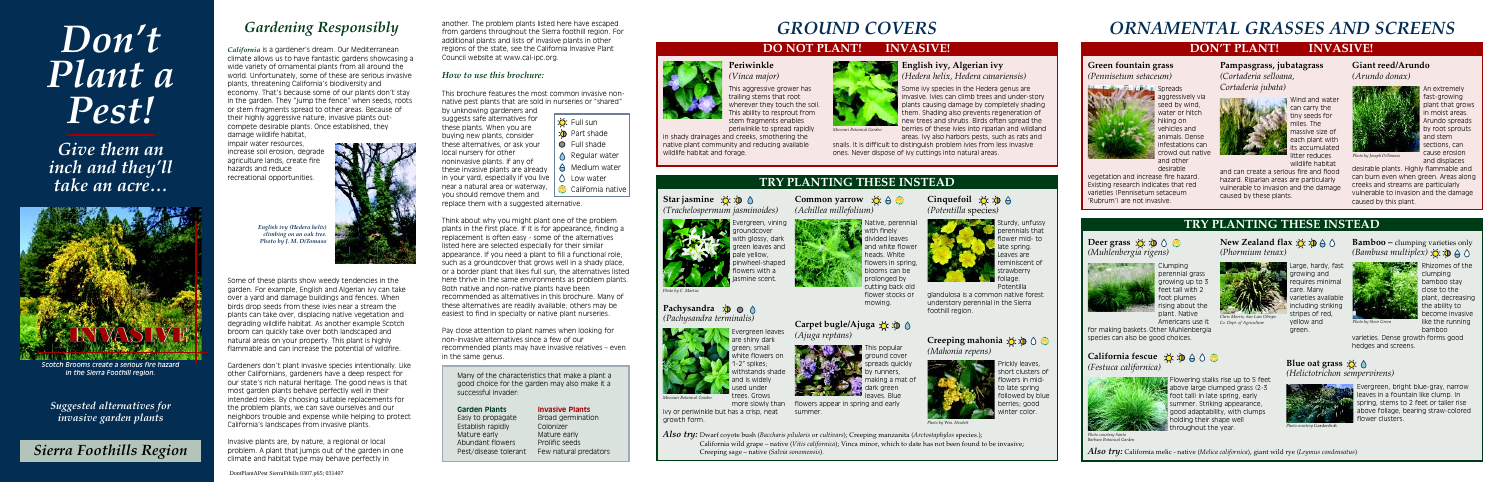## **TRY PLANTING THESE INSTEAD**

**New Zealand flax**  $\mathcal{L}$   $\mathcal{D} \oplus \mathcal{D}$ 

## *Suggested alternatives for invasive garden plants*



## *Don't Plant a Pest!*

*Give them an inch and they'll take an acre…*

## *Gardening Responsibly*

*California* is a gardener's dream. Our Mediterranean climate allows us to have fantastic gardens showcasing a wide variety of ornamental plants from all around the world. Unfortunately, some of these are serious invasive plants, threatening California's biodiversity and economy. That's because some of our plants don't stay in the garden. They "jump the fence" when seeds, roots or stem fragments spread to other areas. Because of their highly aggressive nature, invasive plants outcompete desirable plants. Once established, they damage wildlife habitat,

impair water resources, increase soil erosion, degrade agriculture lands, create fire hazards and reduce recreational opportunities.



another. The problem plants listed here have escaped from gardens throughout the Sierra foothill region. For additional plants and lists of invasive plants in other regions of the state, see the California Invasive Plant Council website at www.cal-ipc.org.

#### *How to use this brochure:*

This brochure features the most common invasive nonnative pest plants that are sold in nurseries or "shared"

by unknowing gardeners and suggests safe alternatives for these plants. When you are buying new plants, consider these alternatives, or ask your local nursery for other noninvasive plants. If any of these invasive plants are already in your yard, especially if you live near a natural area or waterway, you should remove them and

replace them with a suggested alternative.

Think about why you might plant one of the problem plants in the first place. If it is for appearance, finding a replacement is often easy - some of the alternatives listed here are selected especially for their similar appearance. If you need a plant to fill a functional role, such as a groundcover that grows well in a shady place, or a border plant that likes full sun, the alternatives listed here thrive in the same environments as problem plants. Both native and non-native plants have been recommended as alternatives in this brochure. Many of these alternatives are readily available; others may be easiest to find in specialty or native plant nurseries.

Star jasmine  $\forall$   $\Diamond$   $\Diamond$ *(Trachelospermum jasminoides)*



Native, perennia with finely divided leaves and white flower heads. White flowers in spring blooms can be prolonged by cutting back old flower stocks or mowing.

**Cinquefoil**  $\overset{\sim}{\circ}$   $\overset{\sim}{\circ}$   $\overset{\sim}{\circ}$ *(Potentilla* species*)*

## **Pachysandra**  $\oint$   $\bigcirc$   $\bigcirc$ *(Pachysandra terminalis)*

Evergreen leaves are shiny dark green; small white flowers on " spikes withstands shade and is widely used under tees. Grows



Pay close attention to plant names when looking for non-invasive alternatives since a few of our recommended plants may have invasive relatives – even in the same genus.

Prickly leaves, short clusters of flowers in midto late spring followed by blue berries; good inter color

Carpet bugle/Ajuga **☆ > >** ↑ *(Ajuga reptans)*

> This popular ground cover spreads quickly runners.



Many of the characteristics that make a plant a good choice for the garden may also make it a successful invader:

#### **Garden Plants Invasive Plants**

Easy to propagate Broad germination Establish rapidly Colonizer Mature early **Mature early** Abundant flowers Prolific seeds Pest/disease tolerant Few natural predators

**aggressively via** seed by wind, water or hitch hiking on vehicles and animals. Dense infestations can crowd out native and other

Wind and wate can carry the tiny seeds for miles. The massive size of each plant with its accumulated

*Also try:* Dwarf coyote bush (*Baccharis pilularis* or *cultivars*); Creeping manzanita (*Arctostaphylos* species.); California wild grape – native (*Vitis californica*); Vinca minor, which to date has not been found to be invasive; Creeping sage – native (*Salvia sonomensis*).

#### **Periwinkle** *(Vinca major)*

#### **Deer grass**  $\mathcal{L}$  **D**  $\odot$  **C** *(Muhlenbergia rigens)*



This aggressive grower has trailing stems that root wherever they touch the soil. This ability to resprout from stem fragments enables periwinkle to spread rapidly

in shady drainages and creeks, smothering the native plant community and reducing available wildlife habitat and forage.



arge, hardy, fast requires minimal varieties available



**Bamboo** – clumping varieties only *(Bambusa multiplex)*

**English ivy, Algerian ivy** *(Hedera helix, Hedera canariensis)*

**Rhizomes of the** clumping bamboo stay close to the plant, decreasing the ability to become invasive like the running bamboo

## **Blue oat grass** ☆ △ *(Helictotrichon sempervirens)*

Evergreen, bright blue-gray, narrow eaves in a fountain like clump. In spring, stems to 2 feet or taller rise above foliage, bearing straw-colored wer clusters



Some ivy species in the Hedera genus are . Ivies can climb trees and under-story plants causing damage by completely shading them. Shading also prevents regeneration of new trees and shrubs. Birds often spread the berries of these ivies into riparian and wildland areas. Ivy also harbors pests, such as rats and

snails. It is difficult to distinguish problem ivies from less invasive ones. Never dispose of ivy cuttings into natural areas.

## **TRY PLANTING THESE INSTEAD**

**Common yarrow** ☆ A <del>◎</del>

Evergreen, vining groundcover pale yellow, wers with a jasmine scent.

with glossy, dark reen leaves and pinwheel-shaped

*(Achillea millefolium)*

California fescue ☆ **p** A 0 **C** *(Festuca californica)*

> Flowering stalks rise up to 5 feet above large clumped grass (2-3 foot tall) in late spring, early summer. Striking appearance, good adaptability, with clumps holding their shape well hroughout the year.



Sturdy, unfussy perennials that





ivy or periwinkle but has a crisp, neat growth form.



dark green leaves. Blue flowers appear in spring and early

summer.

## **DON'T PLANT! INVASIVE!**

*Also try:* California melic - native (*Melica californica*), giant wild rye (*Leymus condensatus*)

**Green fountain grass** *(Pennisetum setaceum)*



desirable

vegetation and increase fire hazard. Existing research indicates that red varieties (Pennisetum setaceum 'Rubrum') are not invasive.

**Pampasgrass, jubatagrass**



## *(Cortaderia selloana, Cortaderia jubata)*



wildlife habitat

and can create a serious fire and flood hazard. Riparian areas are particularly vulnerable to invasion and the damage caused by these plants.

## **Giant reed/Arundo**

*(Arundo donax)*



An extremely fast-growing plant that grows in moist areas. Arundo spreads by root sprouts and stem sections, can cause erosion and displaces

desirable plants. Highly flammable and can burn even when green. Areas along creeks and streams are particularly vulnerable to invasion and the damage caused by this plant.

perennial grass growing up to 3 feet tall with 2 foot plumes rising about the plant. Native

Clumping Americans use it

for making baskets. Other Muhlenbergia species can also be good choices.

*(Phormium tenax)*

growing and

care. Many

more slowly than *Missouri Botanical Garden*

varieties. Dense growth forms good hedges and screens.

## *Sierra Foothills Region*



Some of these plants show weedy tendencies in the garden. For example, English and Algerian ivy can take over a yard and damage buildings and fences. When birds drop seeds from these ivies near a stream the plants can take over, displacing native vegetation and degrading wildlife habitat. As another example Scotch broom can quickly take over both landscaped and natural areas on your property. This plant is highly flammable and can increase the potential of wildfire.

including striking stripes of red, yellow and green. *Chris Morris, San Luis Obispo Co. Dept. of Agriculture*

Gardeners don't plant invasive species intentionally. Like other Californians, gardeners have a deep respect for our state's rich natural heritage. The good news is that most garden plants behave perfectly well in their intended roles. By choosing suitable replacements for the problem plants, we can save ourselves and our neighbors trouble and expense while helping to protect California's landscapes from invasive plants.



*Scotch Brooms create a serious fire hazard in the Sierra Foothill region.*

Invasive plants are, by nature, a regional or local problem. A plant that jumps out of the garden in one climate and habitat type may behave perfectly in

## *GROUND COVERS*

## **DO NOT PLANT! INVASIVE!**



## *ORNAMENTAL GRASSES AND SCREENS*

*Missouri Botanical Garden*

*Photo by C. Martus*

*Photo by Wm. Hewlett*

*Photo by Joseph DiTomaso*

*Photo courtesy* GardenSoft

*Photo courtesy Santa Barbara Botanical Garden*

*English ivy (Hedera helix) climbing on an oak tree. Photo by J. M. DiTomaso*

DontPlantAPest SierraFthills 0307.p65; 031407

*Photo by Steve Green*